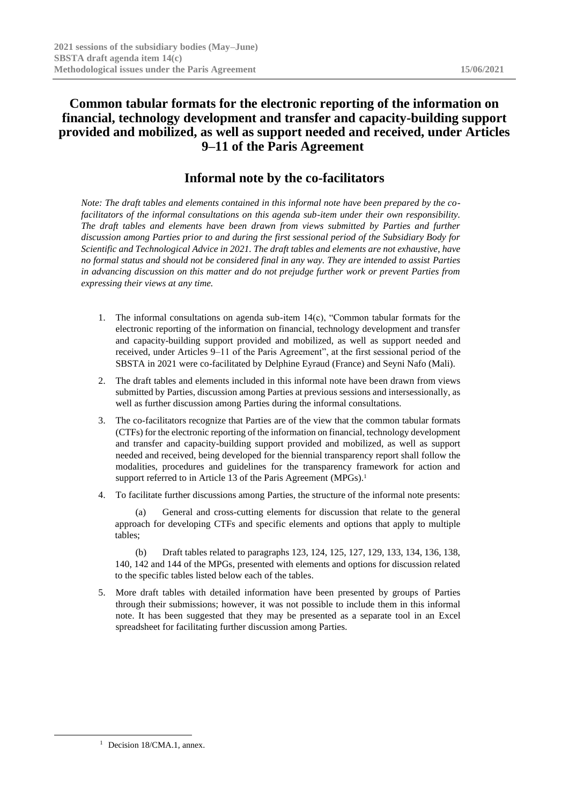# **Common tabular formats for the electronic reporting of the information on financial, technology development and transfer and capacity-building support provided and mobilized, as well as support needed and received, under Articles 9–11 of the Paris Agreement**

# **Informal note by the co-facilitators**

*Note: The draft tables and elements contained in this informal note have been prepared by the cofacilitators of the informal consultations on this agenda sub-item under their own responsibility. The draft tables and elements have been drawn from views submitted by Parties and further discussion among Parties prior to and during the first sessional period of the Subsidiary Body for Scientific and Technological Advice in 2021. The draft tables and elements are not exhaustive, have no formal status and should not be considered final in any way. They are intended to assist Parties in advancing discussion on this matter and do not prejudge further work or prevent Parties from expressing their views at any time.*

- 1. The informal consultations on agenda sub-item 14(c), "Common tabular formats for the electronic reporting of the information on financial, technology development and transfer and capacity-building support provided and mobilized, as well as support needed and received, under Articles 9–11 of the Paris Agreement", at the first sessional period of the SBSTA in 2021 were co-facilitated by Delphine Eyraud (France) and Seyni Nafo (Mali).
- 2. The draft tables and elements included in this informal note have been drawn from views submitted by Parties, discussion among Parties at previous sessions and intersessionally, as well as further discussion among Parties during the informal consultations.
- 3. The co-facilitators recognize that Parties are of the view that the common tabular formats (CTFs) for the electronic reporting of the information on financial, technology development and transfer and capacity-building support provided and mobilized, as well as support needed and received, being developed for the biennial transparency report shall follow the modalities, procedures and guidelines for the transparency framework for action and support referred to in Article 13 of the Paris Agreement (MPGs).<sup>1</sup>
- 4. To facilitate further discussions among Parties, the structure of the informal note presents:

General and cross-cutting elements for discussion that relate to the general approach for developing CTFs and specific elements and options that apply to multiple tables;

(b) Draft tables related to paragraphs 123, 124, 125, 127, 129, 133, 134, 136, 138, 140, 142 and 144 of the MPGs, presented with elements and options for discussion related to the specific tables listed below each of the tables.

5. More draft tables with detailed information have been presented by groups of Parties through their submissions; however, it was not possible to include them in this informal note. It has been suggested that they may be presented as a separate tool in an Excel spreadsheet for facilitating further discussion among Parties.

<sup>&</sup>lt;sup>1</sup> Decision 18/CMA.1, annex.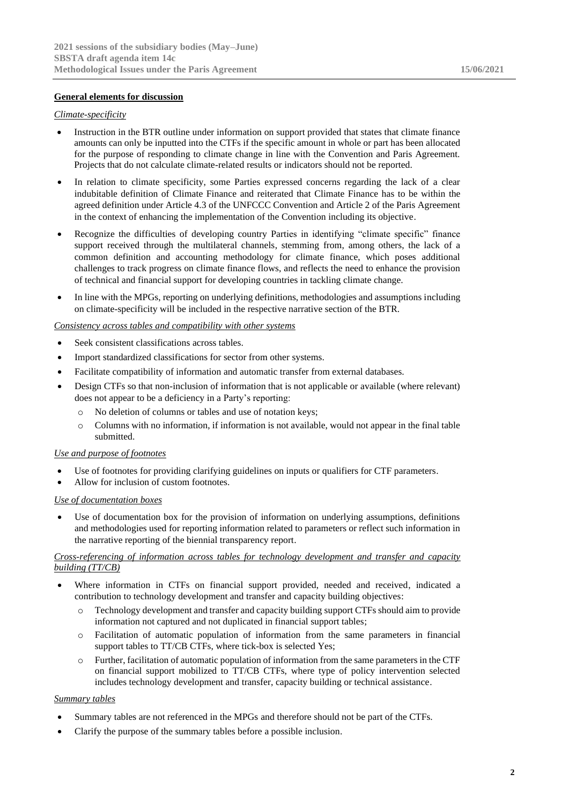# **General elements for discussion**

#### *Climate-specificity*

- Instruction in the BTR outline under information on support provided that states that climate finance amounts can only be inputted into the CTFs if the specific amount in whole or part has been allocated for the purpose of responding to climate change in line with the Convention and Paris Agreement. Projects that do not calculate climate-related results or indicators should not be reported.
- In relation to climate specificity, some Parties expressed concerns regarding the lack of a clear indubitable definition of Climate Finance and reiterated that Climate Finance has to be within the agreed definition under Article 4.3 of the UNFCCC Convention and Article 2 of the Paris Agreement in the context of enhancing the implementation of the Convention including its objective.
- Recognize the difficulties of developing country Parties in identifying "climate specific" finance support received through the multilateral channels, stemming from, among others, the lack of a common definition and accounting methodology for climate finance, which poses additional challenges to track progress on climate finance flows, and reflects the need to enhance the provision of technical and financial support for developing countries in tackling climate change.
- In line with the MPGs, reporting on underlying definitions, methodologies and assumptions including on climate-specificity will be included in the respective narrative section of the BTR.

### *Consistency across tables and compatibility with other systems*

- Seek consistent classifications across tables.
- Import standardized classifications for sector from other systems.
- Facilitate compatibility of information and automatic transfer from external databases.
- Design CTFs so that non-inclusion of information that is not applicable or available (where relevant) does not appear to be a deficiency in a Party's reporting:
	- o No deletion of columns or tables and use of notation keys;
	- $\circ$  Columns with no information, if information is not available, would not appear in the final table submitted.

#### *Use and purpose of footnotes*

- Use of footnotes for providing clarifying guidelines on inputs or qualifiers for CTF parameters.
- Allow for inclusion of custom footnotes.

#### *Use of documentation boxes*

Use of documentation box for the provision of information on underlying assumptions, definitions and methodologies used for reporting information related to parameters or reflect such information in the narrative reporting of the biennial transparency report.

#### *Cross-referencing of information across tables for technology development and transfer and capacity building (TT/CB)*

- Where information in CTFs on financial support provided, needed and received, indicated a contribution to technology development and transfer and capacity building objectives:
	- o Technology development and transfer and capacity building support CTFs should aim to provide information not captured and not duplicated in financial support tables;
	- o Facilitation of automatic population of information from the same parameters in financial support tables to TT/CB CTFs, where tick-box is selected Yes;
	- o Further, facilitation of automatic population of information from the same parameters in the CTF on financial support mobilized to TT/CB CTFs, where type of policy intervention selected includes technology development and transfer, capacity building or technical assistance.

#### *Summary tables*

- Summary tables are not referenced in the MPGs and therefore should not be part of the CTFs.
- Clarify the purpose of the summary tables before a possible inclusion.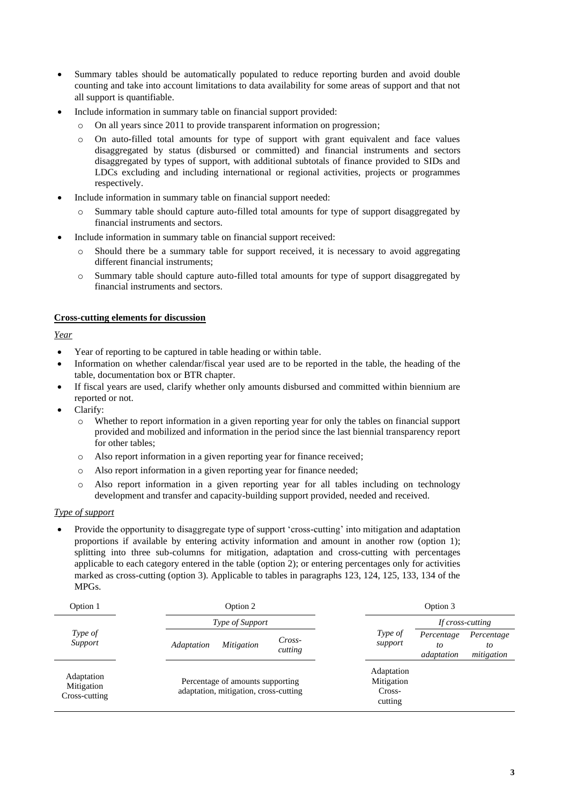- Summary tables should be automatically populated to reduce reporting burden and avoid double counting and take into account limitations to data availability for some areas of support and that not all support is quantifiable.
- Include information in summary table on financial support provided:
	- o On all years since 2011 to provide transparent information on progression;
	- o On auto-filled total amounts for type of support with grant equivalent and face values disaggregated by status (disbursed or committed) and financial instruments and sectors disaggregated by types of support, with additional subtotals of finance provided to SIDs and LDCs excluding and including international or regional activities, projects or programmes respectively.
- Include information in summary table on financial support needed:
	- Summary table should capture auto-filled total amounts for type of support disaggregated by financial instruments and sectors.
- Include information in summary table on financial support received:
	- o Should there be a summary table for support received, it is necessary to avoid aggregating different financial instruments;
	- o Summary table should capture auto-filled total amounts for type of support disaggregated by financial instruments and sectors.

# **Cross-cutting elements for discussion**

*Year*

- Year of reporting to be captured in table heading or within table.
- Information on whether calendar/fiscal year used are to be reported in the table, the heading of the table, documentation box or BTR chapter.
- If fiscal years are used, clarify whether only amounts disbursed and committed within biennium are reported or not.
- Clarify:
	- o Whether to report information in a given reporting year for only the tables on financial support provided and mobilized and information in the period since the last biennial transparency report for other tables;
	- o Also report information in a given reporting year for finance received;
	- o Also report information in a given reporting year for finance needed;
	- o Also report information in a given reporting year for all tables including on technology development and transfer and capacity-building support provided, needed and received.

### *Type of support*

• Provide the opportunity to disaggregate type of support 'cross-cutting' into mitigation and adaptation proportions if available by entering activity information and amount in another row (option 1); splitting into three sub-columns for mitigation, adaptation and cross-cutting with percentages applicable to each category entered in the table (option 2); or entering percentages only for activities marked as cross-cutting (option 3). Applicable to tables in paragraphs 123, 124, 125, 133, 134 of the MPGs.

| Option 1                                  | Option 2                                                                  | Option 3                                                                               |
|-------------------------------------------|---------------------------------------------------------------------------|----------------------------------------------------------------------------------------|
|                                           | Type of Support                                                           | If cross-cutting                                                                       |
| Type of<br>Support                        | Cross-<br><i>Mitigation</i><br>Adaptation<br>cutting                      | Type of<br>Percentage<br>Percentage<br>support<br>to<br>to<br>mitigation<br>adaptation |
| Adaptation<br>Mitigation<br>Cross-cutting | Percentage of amounts supporting<br>adaptation, mitigation, cross-cutting | Adaptation<br>Mitigation<br>Cross-<br>cutting                                          |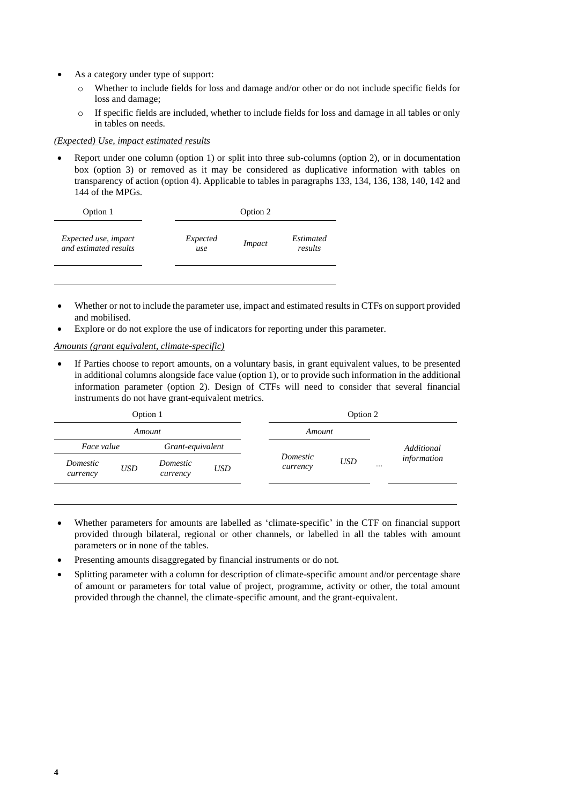- As a category under type of support:
	- o Whether to include fields for loss and damage and/or other or do not include specific fields for loss and damage;
	- o If specific fields are included, whether to include fields for loss and damage in all tables or only in tables on needs.

#### *(Expected) Use, impact estimated results*

• Report under one column (option 1) or split into three sub-columns (option 2), or in documentation box (option 3) or removed as it may be considered as duplicative information with tables on transparency of action (option 4). Applicable to tables in paragraphs 133, 134, 136, 138, 140, 142 and 144 of the MPGs.

| Option 1              | Option 2 |        |           |  |  |  |  |  |
|-----------------------|----------|--------|-----------|--|--|--|--|--|
| Expected use, impact  | Expected | Impact | Estimated |  |  |  |  |  |
| and estimated results | use      |        | results   |  |  |  |  |  |

- Whether or not to include the parameter use, impact and estimated results in CTFs on support provided and mobilised.
- Explore or do not explore the use of indicators for reporting under this parameter.

*Amounts (grant equivalent, climate-specific)*

• If Parties choose to report amounts, on a voluntary basis, in grant equivalent values, to be presented in additional columns alongside face value (option 1), or to provide such information in the additional information parameter (option 2). Design of CTFs will need to consider that several financial instruments do not have grant-equivalent metrics.

|                      | Option 1   |                      |            |                      | Option 2   |                 |
|----------------------|------------|----------------------|------------|----------------------|------------|-----------------|
|                      | Amount     |                      |            | Amount               |            |                 |
| Face value           |            | Grant-equivalent     |            |                      |            | Additional      |
| Domestic<br>currency | <b>USD</b> | Domestic<br>currency | <b>USD</b> | Domestic<br>currency | <b>USD</b> | <br>information |
|                      |            |                      |            |                      |            |                 |

- Whether parameters for amounts are labelled as 'climate-specific' in the CTF on financial support provided through bilateral, regional or other channels, or labelled in all the tables with amount parameters or in none of the tables.
- Presenting amounts disaggregated by financial instruments or do not.
- Splitting parameter with a column for description of climate-specific amount and/or percentage share of amount or parameters for total value of project, programme, activity or other, the total amount provided through the channel, the climate-specific amount, and the grant-equivalent.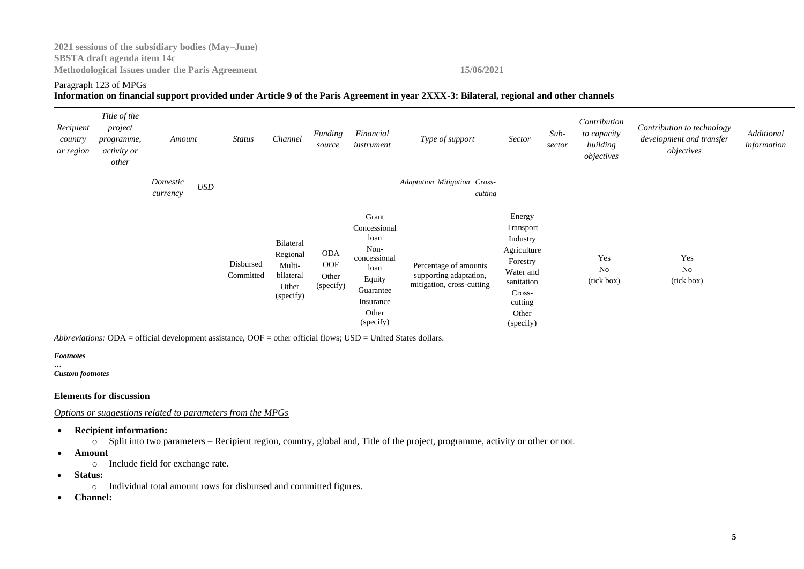# Paragraph 123 of MPGs

### **Information on financial support provided under Article 9 of the Paris Agreement in year 2XXX-3: Bilateral, regional and other channels**

| Recipient<br>country<br>or region | Title of the<br>project<br>programme,<br><i>activity or</i><br>other | Amount               |                    | <b>Status</b>          | Channel                                                            | Funding<br>source                       | Financial<br>instrument                                                                                                 | Type of support                                                              | Sector                                                                                                                           | $Sub-$<br>sector | Contribution<br>to capacity<br>building<br>objectives | Contribution to technology<br>development and transfer<br>objectives | Additional<br>information |
|-----------------------------------|----------------------------------------------------------------------|----------------------|--------------------|------------------------|--------------------------------------------------------------------|-----------------------------------------|-------------------------------------------------------------------------------------------------------------------------|------------------------------------------------------------------------------|----------------------------------------------------------------------------------------------------------------------------------|------------------|-------------------------------------------------------|----------------------------------------------------------------------|---------------------------|
|                                   |                                                                      | Domestic<br>currency | $\boldsymbol{USD}$ |                        |                                                                    |                                         |                                                                                                                         | Adaptation Mitigation Cross-<br>cutting                                      |                                                                                                                                  |                  |                                                       |                                                                      |                           |
|                                   |                                                                      |                      |                    | Disbursed<br>Committed | Bilateral<br>Regional<br>Multi-<br>bilateral<br>Other<br>(specify) | <b>ODA</b><br>OOF<br>Other<br>(specify) | Grant<br>Concessional<br>loan<br>Non-<br>concessional<br>loan<br>Equity<br>Guarantee<br>Insurance<br>Other<br>(specify) | Percentage of amounts<br>supporting adaptation,<br>mitigation, cross-cutting | Energy<br>Transport<br>Industry<br>Agriculture<br>Forestry<br>Water and<br>sanitation<br>Cross-<br>cutting<br>Other<br>(specify) |                  | Yes<br>N <sub>0</sub><br>(tick box)                   | Yes<br>No<br>(tick box)                                              |                           |

*Abbreviations:* ODA = official development assistance, OOF = other official flows; USD = United States dollars.

#### *Footnotes*

*… Custom footnotes*

#### **Elements for discussion**

*Options or suggestions related to parameters from the MPGs*

- **Recipient information:** 
	- $\circ$  Split into two parameters Recipient region, country, global and, Title of the project, programme, activity or other or not.
- **Amount**
	- o Include field for exchange rate.
- **Status:**
	- o Individual total amount rows for disbursed and committed figures.
- **Channel:**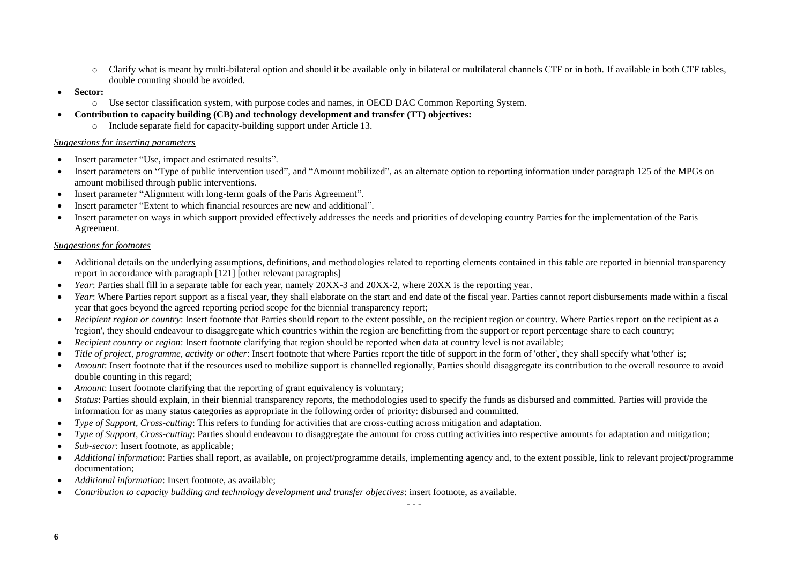- o Clarify what is meant by multi-bilateral option and should it be available only in bilateral or multilateral channels CTF or in both. If available in both CTF tables, double counting should be avoided.
- **Sector:**
	- o Use sector classification system, with purpose codes and names, in OECD DAC Common Reporting System.
- **Contribution to capacity building (CB) and technology development and transfer (TT) objectives:**
	- o Include separate field for capacity-building support under Article 13.

#### *Suggestions for inserting parameters*

- Insert parameter "Use, impact and estimated results".
- Insert parameters on "Type of public intervention used", and "Amount mobilized", as an alternate option to reporting information under paragraph 125 of the MPGs on amount mobilised through public interventions.
- Insert parameter "Alignment with long-term goals of the Paris Agreement".
- Insert parameter "Extent to which financial resources are new and additional".
- Insert parameter on ways in which support provided effectively addresses the needs and priorities of developing country Parties for the implementation of the Paris Agreement.

# *Suggestions for footnotes*

- Additional details on the underlying assumptions, definitions, and methodologies related to reporting elements contained in this table are reported in biennial transparency report in accordance with paragraph [121] [other relevant paragraphs]
- *Year*: Parties shall fill in a separate table for each year, namely  $20XX-3$  and  $20XX-2$ , where  $20XX$  is the reporting year.
- *Year*: Where Parties report support as a fiscal year, they shall elaborate on the start and end date of the fiscal year. Parties cannot report disbursements made within a fiscal year that goes beyond the agreed reporting period scope for the biennial transparency report;
- *Recipient region or country*: Insert footnote that Parties should report to the extent possible, on the recipient region or country. Where Parties report on the recipient as a 'region', they should endeavour to disaggregate which countries within the region are benefitting from the support or report percentage share to each country;
- *Recipient country or region*: Insert footnote clarifying that region should be reported when data at country level is not available;
- *Title of project, programme, activity or other*: Insert footnote that where Parties report the title of support in the form of 'other', they shall specify what 'other' is;
- *Amount*: Insert footnote that if the resources used to mobilize support is channelled regionally, Parties should disaggregate its contribution to the overall resource to avoid double counting in this regard;
- *Amount*: Insert footnote clarifying that the reporting of grant equivalency is voluntary;
- *Status*: Parties should explain, in their biennial transparency reports, the methodologies used to specify the funds as disbursed and committed. Parties will provide the information for as many status categories as appropriate in the following order of priority: disbursed and committed.
- *Type of Support, Cross-cutting*: This refers to funding for activities that are cross-cutting across mitigation and adaptation.
- *Type of Support, Cross-cutting*: Parties should endeavour to disaggregate the amount for cross cutting activities into respective amounts for adaptation and mitigation;
- *Sub-sector*: Insert footnote, as applicable:
- *Additional information*: Parties shall report, as available, on project/programme details, implementing agency and, to the extent possible, link to relevant project/programme documentation;
- *Additional information*: Insert footnote, as available;
- *Contribution to capacity building and technology development and transfer objectives*: insert footnote, as available.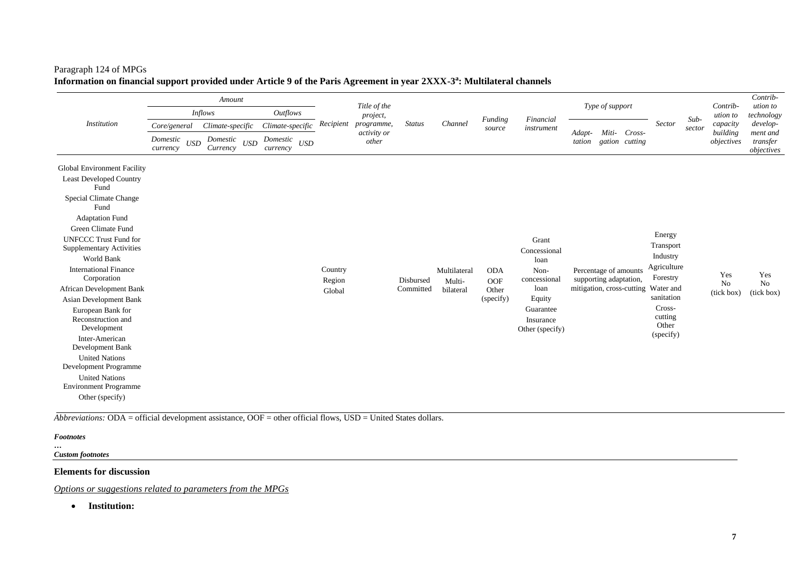# Paragraph 124 of MPGs **Information on financial support provided under Article 9 of the Paris Agreement in year 2XXX-3 a : Multilateral channels**

|                                                                 |                                                     | Amount                                              |                                    |           | Title of the              |                        |              |                     |                              | Type of support  |                        |                |                                     |                  | Contrib-                         | Contrib-<br>ution to               |
|-----------------------------------------------------------------|-----------------------------------------------------|-----------------------------------------------------|------------------------------------|-----------|---------------------------|------------------------|--------------|---------------------|------------------------------|------------------|------------------------|----------------|-------------------------------------|------------------|----------------------------------|------------------------------------|
|                                                                 |                                                     | <b>Inflows</b>                                      | <b>Outflows</b>                    |           | project,                  |                        |              | Funding             | Financial                    |                  |                        |                |                                     | $Sub-$<br>sector | ution to<br>capacity<br>building | technology                         |
| <b>Institution</b>                                              | Core/general                                        | Climate-specific                                    | Climate-specific                   | Recipient | programme,<br>activity or | <b>Status</b>          | Channel      | source              | instrument                   |                  | Miti-                  | Cross-         | <b>Sector</b>                       |                  |                                  | develop-                           |
|                                                                 | Domestic<br>$\ensuremath{\mathit{USD}}$<br>currency | Domestic<br>$\ensuremath{\mathit{USD}}$<br>Currency | Domestic<br><b>USD</b><br>currency |           | other                     |                        |              |                     |                              | Adapt-<br>tation |                        | gation cutting |                                     |                  | objectives                       | ment and<br>transfer<br>objectives |
| Global Environment Facility                                     |                                                     |                                                     |                                    |           |                           |                        |              |                     |                              |                  |                        |                |                                     |                  |                                  |                                    |
| <b>Least Developed Country</b><br>Fund                          |                                                     |                                                     |                                    |           |                           |                        |              |                     |                              |                  |                        |                |                                     |                  |                                  |                                    |
| <b>Special Climate Change</b><br>Fund                           |                                                     |                                                     |                                    |           |                           |                        |              |                     |                              |                  |                        |                |                                     |                  |                                  |                                    |
| <b>Adaptation Fund</b>                                          |                                                     |                                                     |                                    |           |                           |                        |              |                     |                              |                  |                        |                |                                     |                  |                                  |                                    |
| Green Climate Fund                                              |                                                     |                                                     |                                    |           |                           |                        |              |                     |                              |                  |                        |                |                                     |                  |                                  |                                    |
| <b>UNFCCC Trust Fund for</b><br><b>Supplementary Activities</b> |                                                     |                                                     |                                    |           |                           |                        |              |                     | Grant<br>Concessional        |                  |                        |                | Energy<br>Transport                 |                  |                                  |                                    |
| World Bank                                                      |                                                     |                                                     |                                    |           |                           |                        |              |                     | loan                         |                  |                        |                | Industry                            |                  |                                  |                                    |
| <b>International Finance</b>                                    |                                                     |                                                     |                                    | Country   |                           |                        | Multilateral | <b>ODA</b>          | Non-                         |                  | Percentage of amounts  |                | Agriculture<br>Forestry             |                  | Yes                              | Yes                                |
| Corporation<br>African Development Bank                         |                                                     |                                                     |                                    | Region    |                           | Disbursed<br>Committed | Multi-       | <b>OOF</b><br>Other | concessional<br>loan         |                  | supporting adaptation, |                | mitigation, cross-cutting Water and |                  | No                               | No                                 |
| <b>Asian Development Bank</b>                                   |                                                     |                                                     |                                    | Global    |                           |                        | bilateral    | (specify)           | Equity                       |                  |                        |                | sanitation                          |                  | (tick box)                       | (tick box)                         |
| European Bank for<br>Reconstruction and                         |                                                     |                                                     |                                    |           |                           |                        |              |                     | Guarantee                    |                  |                        |                | Cross-<br>cutting                   |                  |                                  |                                    |
| Development                                                     |                                                     |                                                     |                                    |           |                           |                        |              |                     | Insurance<br>Other (specify) |                  |                        |                | Other                               |                  |                                  |                                    |
| Inter-American<br>Development Bank                              |                                                     |                                                     |                                    |           |                           |                        |              |                     |                              |                  |                        |                | (specify)                           |                  |                                  |                                    |
| <b>United Nations</b>                                           |                                                     |                                                     |                                    |           |                           |                        |              |                     |                              |                  |                        |                |                                     |                  |                                  |                                    |
| Development Programme<br><b>United Nations</b>                  |                                                     |                                                     |                                    |           |                           |                        |              |                     |                              |                  |                        |                |                                     |                  |                                  |                                    |
| <b>Environment Programme</b>                                    |                                                     |                                                     |                                    |           |                           |                        |              |                     |                              |                  |                        |                |                                     |                  |                                  |                                    |
| Other (specify)                                                 |                                                     |                                                     |                                    |           |                           |                        |              |                     |                              |                  |                        |                |                                     |                  |                                  |                                    |
|                                                                 |                                                     |                                                     |                                    |           |                           |                        |              |                     |                              |                  |                        |                |                                     |                  |                                  |                                    |

*Abbreviations:* ODA = official development assistance, OOF = other official flows, USD = United States dollars.

#### *Footnotes*

*… Custom footnotes*

### **Elements for discussion**

*Options or suggestions related to parameters from the MPGs*

• **Institution:**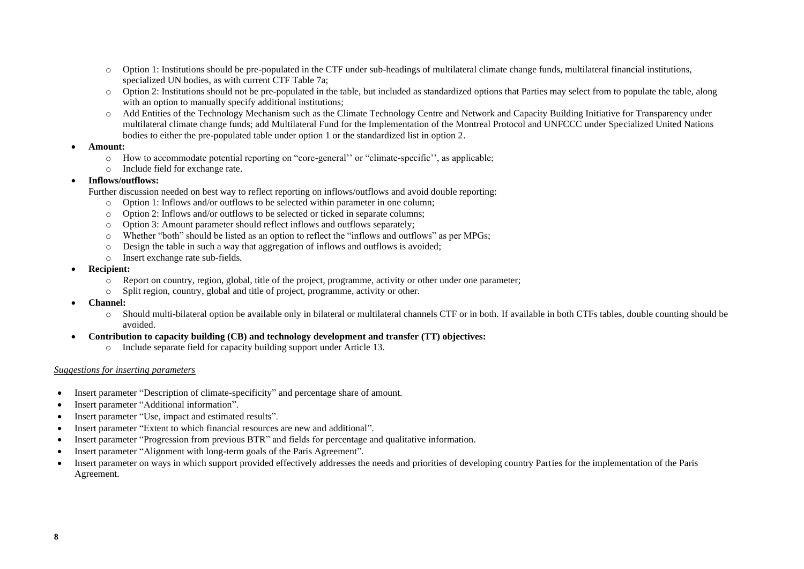- $\circ$  Option 1: Institutions should be pre-populated in the CTF under sub-headings of multilateral climate change funds, multilateral financial institutions, specialized UN bodies, as with current CTF Table 7a;
- o Option 2: Institutions should not be pre-populated in the table, but included as standardized options that Parties may select from to populate the table, along with an option to manually specify additional institutions;
- o Add Entities of the Technology Mechanism such as the Climate Technology Centre and Network and Capacity Building Initiative for Transparency under multilateral climate change funds; add Multilateral Fund for the Implementation of the Montreal Protocol and UNFCCC under Specialized United Nations bodies to either the pre-populated table under option 1 or the standardized list in option 2.

#### • **Amount:**

- o How to accommodate potential reporting on "core-general'' or "climate-specific'', as applicable;
- o Include field for exchange rate.

# • **Inflows/outflows:**

Further discussion needed on best way to reflect reporting on inflows/outflows and avoid double reporting:

- o Option 1: Inflows and/or outflows to be selected within parameter in one column;
- o Option 2: Inflows and/or outflows to be selected or ticked in separate columns;
- o Option 3: Amount parameter should reflect inflows and outflows separately;
- o Whether "both" should be listed as an option to reflect the "inflows and outflows" as per MPGs;
- o Design the table in such a way that aggregation of inflows and outflows is avoided;
- o Insert exchange rate sub-fields.
- **Recipient:** 
	- o Report on country, region, global, title of the project, programme, activity or other under one parameter;
	- o Split region, country, global and title of project, programme, activity or other.
- **Channel:** 
	- o Should multi-bilateral option be available only in bilateral or multilateral channels CTF or in both. If available in both CTFs tables, double counting should be avoided.
- **Contribution to capacity building (CB) and technology development and transfer (TT) objectives:** 
	- o Include separate field for capacity building support under Article 13.

# *Suggestions for inserting parameters*

- Insert parameter "Description of climate-specificity" and percentage share of amount.
- Insert parameter "Additional information".
- Insert parameter "Use, impact and estimated results".
- Insert parameter "Extent to which financial resources are new and additional".
- Insert parameter "Progression from previous BTR" and fields for percentage and qualitative information.
- Insert parameter "Alignment with long-term goals of the Paris Agreement".
- Insert parameter on ways in which support provided effectively addresses the needs and priorities of developing country Parties for the implementation of the Paris Agreement.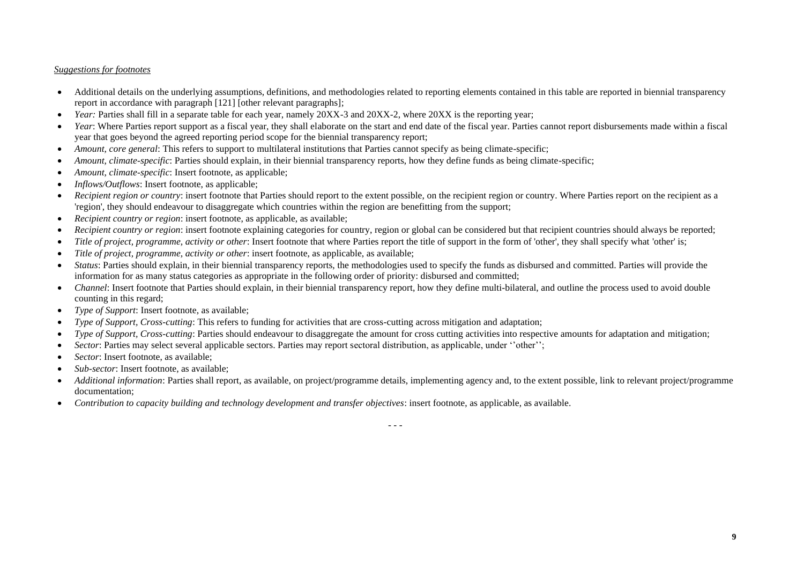# *Suggestions for footnotes*

- Additional details on the underlying assumptions, definitions, and methodologies related to reporting elements contained in this table are reported in biennial transparency report in accordance with paragraph [121] [other relevant paragraphs];
- *Year:* Parties shall fill in a separate table for each year, namely 20XX-3 and 20XX-2, where 20XX is the reporting year;
- *Year*: Where Parties report support as a fiscal year, they shall elaborate on the start and end date of the fiscal year. Parties cannot report disbursements made within a fiscal year that goes beyond the agreed reporting period scope for the biennial transparency report;
- *Amount, core general:* This refers to support to multilateral institutions that Parties cannot specify as being climate-specific;
- *Amount, climate-specific*: Parties should explain, in their biennial transparency reports, how they define funds as being climate-specific;
- *Amount, climate-specific*: Insert footnote, as applicable;
- *Inflows/Outflows*: Insert footnote, as applicable;
- *Recipient region or country*: insert footnote that Parties should report to the extent possible, on the recipient region or country. Where Parties report on the recipient as a 'region', they should endeavour to disaggregate which countries within the region are benefitting from the support;
- *Recipient country or region*: insert footnote, as applicable, as available;
- *Recipient country or region*: insert footnote explaining categories for country, region or global can be considered but that recipient countries should always be reported;
- *Title of project, programme, activity or other*: Insert footnote that where Parties report the title of support in the form of 'other', they shall specify what 'other' is;
- *Title of project, programme, activity or other*: insert footnote, as applicable, as available;
- *Status*: Parties should explain, in their biennial transparency reports, the methodologies used to specify the funds as disbursed and committed. Parties will provide the information for as many status categories as appropriate in the following order of priority: disbursed and committed;
- *Channel*: Insert footnote that Parties should explain, in their biennial transparency report, how they define multi-bilateral, and outline the process used to avoid double counting in this regard;
- *Type of Support*: Insert footnote, as available;
- *Type of Support, Cross-cutting*: This refers to funding for activities that are cross-cutting across mitigation and adaptation;
- *Type of Support, Cross-cutting*: Parties should endeavour to disaggregate the amount for cross cutting activities into respective amounts for adaptation and mitigation;
- *Sector*: Parties may select several applicable sectors. Parties may report sectoral distribution, as applicable, under ''other'';
- *Sector*: Insert footnote, as available:
- *Sub-sector*: Insert footnote, as available:
- Additional information: Parties shall report, as available, on project/programme details, implementing agency and, to the extent possible, link to relevant project/programme documentation;
- *Contribution to capacity building and technology development and transfer objectives*: insert footnote, as applicable, as available.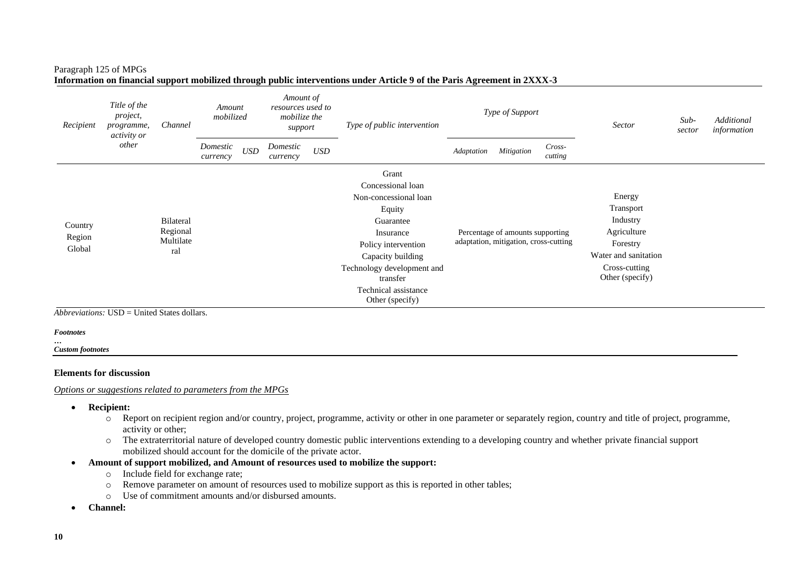#### Paragraph 125 of MPGs

| Title of the<br>project,<br>Recipient<br>programme,<br><i>activity or</i> |                                                    | Channel   | Amount<br>mobilized  |            | Amount of<br>resources used to<br>mobilize the<br>support |                    | Type of public intervention             |            | Type of Support                       |                   | Sector                           | $Sub-$<br>sector | Additional<br>information |
|---------------------------------------------------------------------------|----------------------------------------------------|-----------|----------------------|------------|-----------------------------------------------------------|--------------------|-----------------------------------------|------------|---------------------------------------|-------------------|----------------------------------|------------------|---------------------------|
|                                                                           | other                                              |           | Domestic<br>currency | <b>USD</b> | Domestic<br>currency                                      | $\boldsymbol{USD}$ |                                         | Adaptation | Mitigation                            | Cross-<br>cutting |                                  |                  |                           |
|                                                                           |                                                    |           |                      |            |                                                           |                    | Grant                                   |            |                                       |                   |                                  |                  |                           |
|                                                                           |                                                    |           |                      |            |                                                           |                    | Concessional loan                       |            |                                       |                   |                                  |                  |                           |
|                                                                           |                                                    |           |                      |            |                                                           |                    | Non-concessional loan                   |            |                                       |                   | Energy                           |                  |                           |
|                                                                           |                                                    |           |                      |            |                                                           |                    | Equity                                  |            |                                       |                   | Transport                        |                  |                           |
| Country                                                                   |                                                    | Bilateral |                      |            |                                                           |                    | Guarantee                               |            |                                       |                   | Industry                         |                  |                           |
| Region                                                                    |                                                    | Regional  |                      |            |                                                           |                    | Insurance                               |            | Percentage of amounts supporting      |                   | Agriculture                      |                  |                           |
| Global                                                                    |                                                    | Multilate |                      |            |                                                           |                    | Policy intervention                     |            | adaptation, mitigation, cross-cutting |                   | Forestry                         |                  |                           |
|                                                                           |                                                    | ral       |                      |            |                                                           |                    | Capacity building                       |            |                                       |                   | Water and sanitation             |                  |                           |
|                                                                           |                                                    |           |                      |            |                                                           |                    | Technology development and<br>transfer  |            |                                       |                   | Cross-cutting<br>Other (specify) |                  |                           |
|                                                                           |                                                    |           |                      |            |                                                           |                    | Technical assistance<br>Other (specify) |            |                                       |                   |                                  |                  |                           |
|                                                                           | <i>Abbreviations:</i> USD = United States dollars. |           |                      |            |                                                           |                    |                                         |            |                                       |                   |                                  |                  |                           |

**Information on financial support mobilized through public interventions under Article 9 of the Paris Agreement in 2XXX-3**

#### *Footnotes*

*…*

*Custom footnotes*

#### **Elements for discussion**

#### *Options or suggestions related to parameters from the MPGs*

- **Recipient:** 
	- $\overline{\circ}$  Report on recipient region and/or country, project, programme, activity or other in one parameter or separately region, country and title of project, programme, activity or other;
	- o The extraterritorial nature of developed country domestic public interventions extending to a developing country and whether private financial support mobilized should account for the domicile of the private actor.
- **Amount of support mobilized, and Amount of resources used to mobilize the support:** 
	- o Include field for exchange rate;
	- o Remove parameter on amount of resources used to mobilize support as this is reported in other tables;
	- o Use of commitment amounts and/or disbursed amounts.
- **Channel:**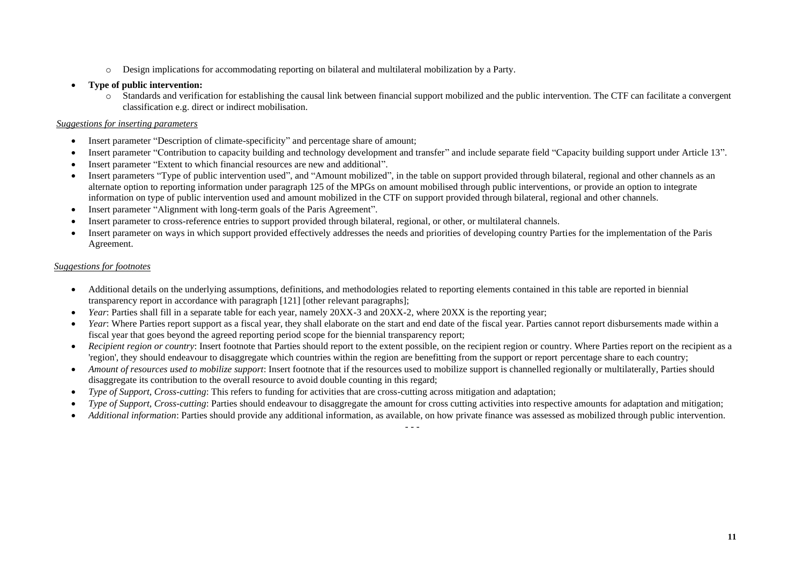- o Design implications for accommodating reporting on bilateral and multilateral mobilization by a Party.
- **Type of public intervention:**
	- o Standards and verification for establishing the causal link between financial support mobilized and the public intervention. The CTF can facilitate a convergent classification e.g. direct or indirect mobilisation.

# *Suggestions for inserting parameters*

- Insert parameter "Description of climate-specificity" and percentage share of amount;
- Insert parameter "Contribution to capacity building and technology development and transfer" and include separate field "Capacity building support under Article 13".
- Insert parameter "Extent to which financial resources are new and additional".
- Insert parameters "Type of public intervention used", and "Amount mobilized", in the table on support provided through bilateral, regional and other channels as an alternate option to reporting information under paragraph 125 of the MPGs on amount mobilised through public interventions, or provide an option to integrate information on type of public intervention used and amount mobilized in the CTF on support provided through bilateral, regional and other channels.
- Insert parameter "Alignment with long-term goals of the Paris Agreement".
- Insert parameter to cross-reference entries to support provided through bilateral, regional, or other, or multilateral channels.
- Insert parameter on ways in which support provided effectively addresses the needs and priorities of developing country Parties for the implementation of the Paris Agreement.

# *Suggestions for footnotes*

- Additional details on the underlying assumptions, definitions, and methodologies related to reporting elements contained in this table are reported in biennial transparency report in accordance with paragraph [121] [other relevant paragraphs];
- *Year*: Parties shall fill in a separate table for each year, namely 20XX-3 and 20XX-2, where 20XX is the reporting year;
- *Year*: Where Parties report support as a fiscal year, they shall elaborate on the start and end date of the fiscal year. Parties cannot report disbursements made within a fiscal year that goes beyond the agreed reporting period scope for the biennial transparency report;
- *Recipient region or country*: Insert footnote that Parties should report to the extent possible, on the recipient region or country. Where Parties report on the recipient as a 'region', they should endeavour to disaggregate which countries within the region are benefitting from the support or report percentage share to each country;
- *Amount of resources used to mobilize support*: Insert footnote that if the resources used to mobilize support is channelled regionally or multilaterally, Parties should disaggregate its contribution to the overall resource to avoid double counting in this regard;
- *Type of Support, Cross-cutting*: This refers to funding for activities that are cross-cutting across mitigation and adaptation;
- *Type of Support, Cross-cutting*: Parties should endeavour to disaggregate the amount for cross cutting activities into respective amounts for adaptation and mitigation;
- *Additional information*: Parties should provide any additional information, as available, on how private finance was assessed as mobilized through public intervention.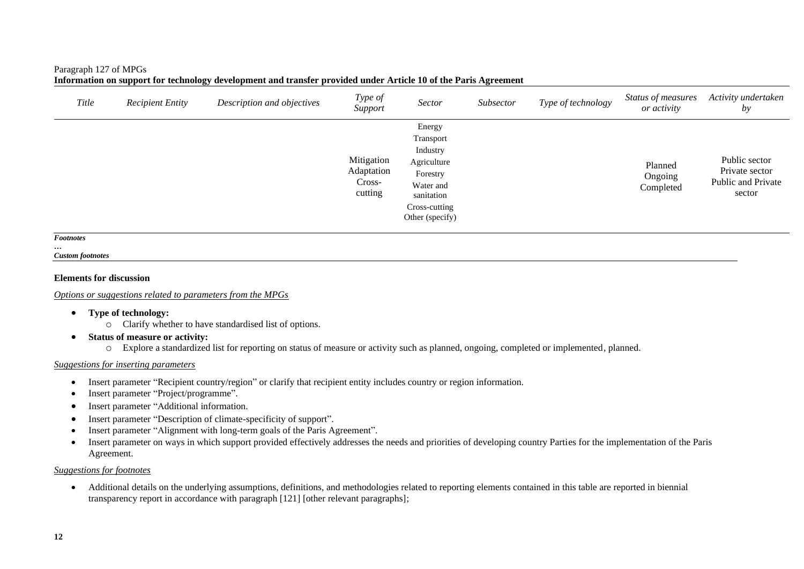#### Paragraph 127 of MPGs

| Title | <b>Recipient Entity</b> | Description and objectives | Type of<br>Support                            | Sector                                                                                                                    | Subsector | Type of technology | Status of measures<br>or activity | Activity undertaken<br>by                                       |
|-------|-------------------------|----------------------------|-----------------------------------------------|---------------------------------------------------------------------------------------------------------------------------|-----------|--------------------|-----------------------------------|-----------------------------------------------------------------|
|       |                         |                            | Mitigation<br>Adaptation<br>Cross-<br>cutting | Energy<br>Transport<br>Industry<br>Agriculture<br>Forestry<br>Water and<br>sanitation<br>Cross-cutting<br>Other (specify) |           |                    | Planned<br>Ongoing<br>Completed   | Public sector<br>Private sector<br>Public and Private<br>sector |

#### *Footnotes*

*… Custom footnotes*

#### **Elements for discussion**

*Options or suggestions related to parameters from the MPGs*

- **Type of technology:**
	- o Clarify whether to have standardised list of options.
- **Status of measure or activity:**
	- o Explore a standardized list for reporting on status of measure or activity such as planned, ongoing, completed or implemented, planned.

#### *Suggestions for inserting parameters*

- Insert parameter "Recipient country/region" or clarify that recipient entity includes country or region information.
- Insert parameter "Project/programme".
- Insert parameter "Additional information.
- Insert parameter "Description of climate-specificity of support".
- Insert parameter "Alignment with long-term goals of the Paris Agreement".
- Insert parameter on ways in which support provided effectively addresses the needs and priorities of developing country Parties for the implementation of the Paris Agreement.

#### *Suggestions for footnotes*

• Additional details on the underlying assumptions, definitions, and methodologies related to reporting elements contained in this table are reported in biennial transparency report in accordance with paragraph [121] [other relevant paragraphs];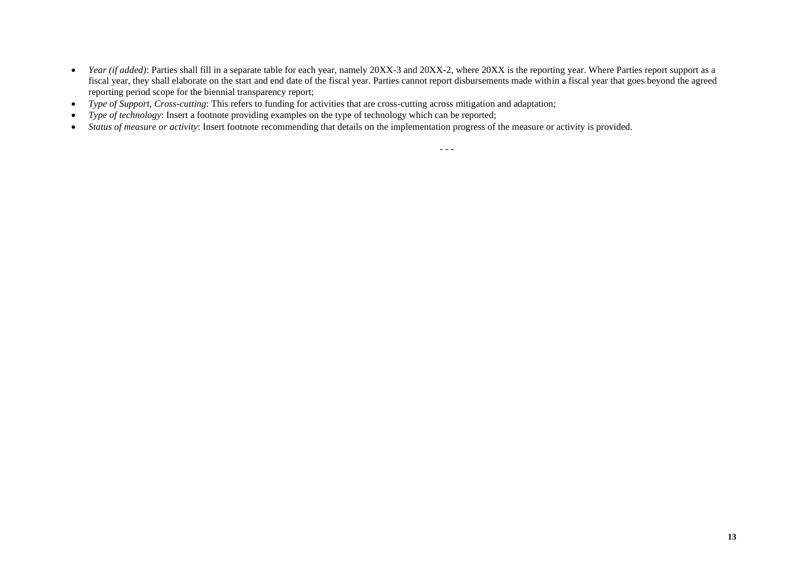- *Year (if added)*: Parties shall fill in a separate table for each year, namely 20XX-3 and 20XX-2, where 20XX is the reporting year. Where Parties report support as a fiscal year, they shall elaborate on the start and end date of the fiscal year. Parties cannot report disbursements made within a fiscal year that goes beyond the agreed reporting period scope for the biennial transparency report;
- *Type of Support, Cross-cutting*: This refers to funding for activities that are cross-cutting across mitigation and adaptation;
- *Type of technology*: Insert a footnote providing examples on the type of technology which can be reported;
- *Status of measure or activity*: Insert footnote recommending that details on the implementation progress of the measure or activity is provided.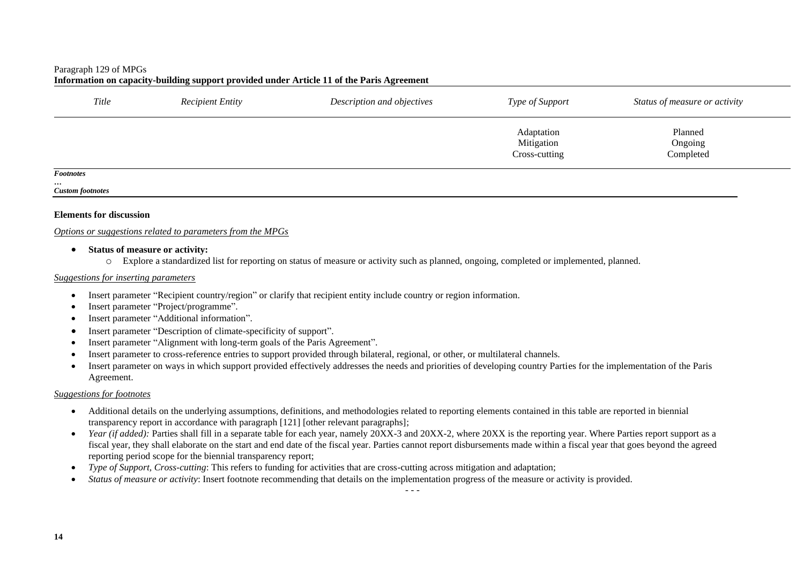#### Paragraph 129 of MPGs

|                  |                         | Thrormation on capacity-bunding support provided under Article 11 of the Faris Agreement |                                           |                                 |  |
|------------------|-------------------------|------------------------------------------------------------------------------------------|-------------------------------------------|---------------------------------|--|
| Title            | <b>Recipient Entity</b> | Description and objectives                                                               | Type of Support                           | Status of measure or activity   |  |
|                  |                         |                                                                                          | Adaptation<br>Mitigation<br>Cross-cutting | Planned<br>Ongoing<br>Completed |  |
| <b>Footnotes</b> |                         |                                                                                          |                                           |                                 |  |

### Information on capacity-building support provided under Article 11 of the Paris Agreement

#### *… Custom footnotes*

#### **Elements for discussion**

#### *Options or suggestions related to parameters from the MPGs*

- **Status of measure or activity:**
	- o Explore a standardized list for reporting on status of measure or activity such as planned, ongoing, completed or implemented, planned.

#### *Suggestions for inserting parameters*

- Insert parameter "Recipient country/region" or clarify that recipient entity include country or region information.
- Insert parameter "Project/programme".
- Insert parameter "Additional information".
- Insert parameter "Description of climate-specificity of support".
- Insert parameter "Alignment with long-term goals of the Paris Agreement".
- Insert parameter to cross-reference entries to support provided through bilateral, regional, or other, or multilateral channels.
- Insert parameter on ways in which support provided effectively addresses the needs and priorities of developing country Parties for the implementation of the Paris Agreement.

#### *Suggestions for footnotes*

- Additional details on the underlying assumptions, definitions, and methodologies related to reporting elements contained in this table are reported in biennial transparency report in accordance with paragraph [121] [other relevant paragraphs];
- Year (if added): Parties shall fill in a separate table for each year, namely 20XX-3 and 20XX-2, where 20XX is the reporting year. Where Parties report support as a fiscal year, they shall elaborate on the start and end date of the fiscal year. Parties cannot report disbursements made within a fiscal year that goes beyond the agreed reporting period scope for the biennial transparency report;
- *Type of Support, Cross-cutting*: This refers to funding for activities that are cross-cutting across mitigation and adaptation;
- *Status of measure or activity*: Insert footnote recommending that details on the implementation progress of the measure or activity is provided.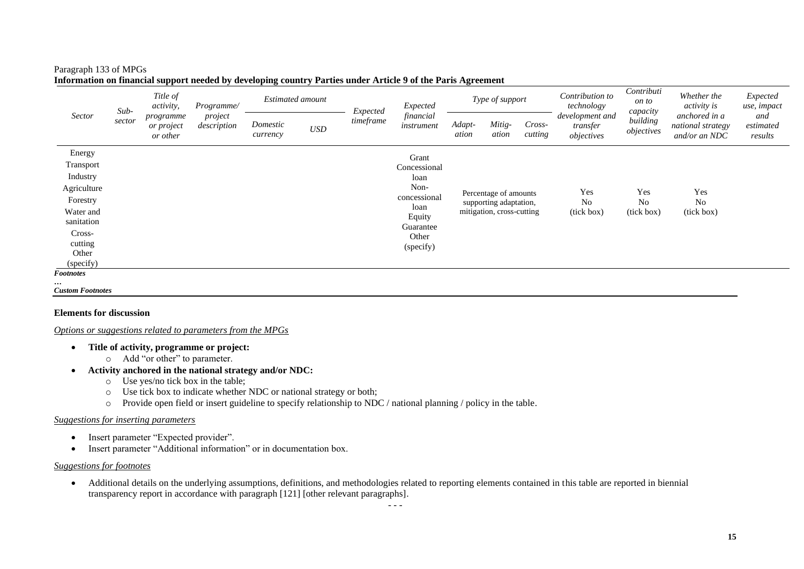# Paragraph 133 of MPGs

|                                                                                                                                                      | $Sub-$ | Title of<br>activity,               | Programme/             | <b>Estimated amount</b> |            |           | Expected<br>Expected                                                                                       |                 | Type of support                                                              |                   | Contribution to<br>technology             | Contributi<br>on to<br>capacity     | Whether the<br><i>activity is</i>                   | Expected<br>use, impact     |
|------------------------------------------------------------------------------------------------------------------------------------------------------|--------|-------------------------------------|------------------------|-------------------------|------------|-----------|------------------------------------------------------------------------------------------------------------|-----------------|------------------------------------------------------------------------------|-------------------|-------------------------------------------|-------------------------------------|-----------------------------------------------------|-----------------------------|
| Sector                                                                                                                                               | sector | programme<br>or project<br>or other | project<br>description | Domestic<br>currency    | <b>USD</b> | timeframe | financial<br>instrument                                                                                    | Adapt-<br>ation | Mitig-<br>ation                                                              | Cross-<br>cutting | development and<br>transfer<br>objectives | building<br>objectives              | anchored in a<br>national strategy<br>and/or an NDC | and<br>estimated<br>results |
| Energy<br>Transport<br>Industry<br>Agriculture<br>Forestry<br>Water and<br>sanitation<br>Cross-<br>cutting<br>Other<br>(specify)<br><b>Footnotes</b> |        |                                     |                        |                         |            |           | Grant<br>Concessional<br>loan<br>Non-<br>concessional<br>loan<br>Equity<br>Guarantee<br>Other<br>(specify) |                 | Percentage of amounts<br>supporting adaptation,<br>mitigation, cross-cutting |                   | Yes<br>No<br>(tick box)                   | Yes<br>N <sub>o</sub><br>(tick box) | Yes<br>N <sub>o</sub><br>(tick box)                 |                             |
| $\cdots$<br><b>Custom Footnotes</b>                                                                                                                  |        |                                     |                        |                         |            |           |                                                                                                            |                 |                                                                              |                   |                                           |                                     |                                                     |                             |

#### **Information on financial support needed by developing country Parties under Article 9 of the Paris Agreement**

**Elements for discussion**

*Options or suggestions related to parameters from the MPGs*

- **Title of activity, programme or project:** 
	- o Add "or other" to parameter.
- **Activity anchored in the national strategy and/or NDC:** 
	- $\circ$  Use yes/no tick box in the table;
	- o Use tick box to indicate whether NDC or national strategy or both;
	- o Provide open field or insert guideline to specify relationship to NDC / national planning / policy in the table.

#### *Suggestions for inserting parameters*

- Insert parameter "Expected provider".
- Insert parameter "Additional information" or in documentation box.

#### *Suggestions for footnotes*

• Additional details on the underlying assumptions, definitions, and methodologies related to reporting elements contained in this table are reported in biennial transparency report in accordance with paragraph [121] [other relevant paragraphs].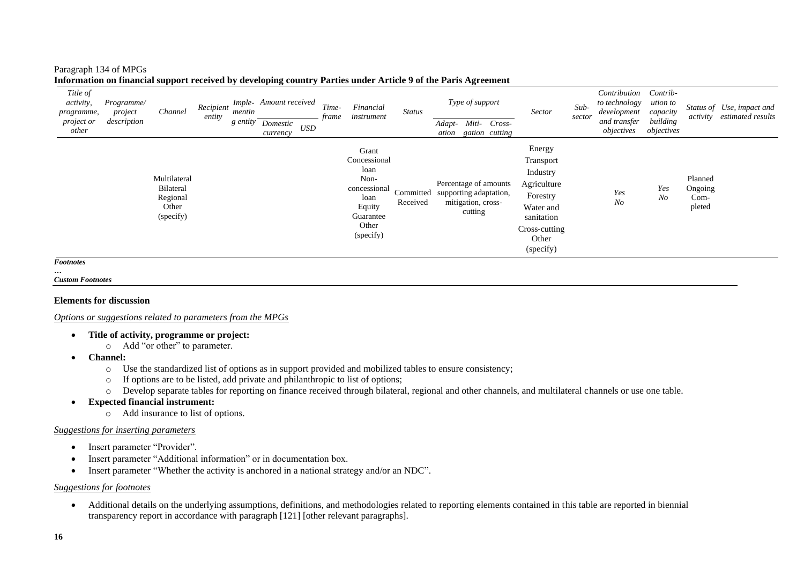#### Paragraph 134 of MPGs

| $\ensuremath{\mathit{USD}}$<br>objectives<br>objectives<br>other<br>gation cutting<br>ation<br>currency<br>Energy<br>Grant<br>Transport<br>Concessional<br>loan<br>Industry<br>Planned<br>Multilateral<br>Non-<br>Agriculture<br>Percentage of amounts<br>concessional<br>Yes<br>Ongoing<br>Bilateral<br>Yes<br>Committed<br>supporting adaptation,<br>Forestry<br>Regional<br>N <sub>O</sub><br>Com-<br>loan<br>N <sub>O</sub><br>Received<br>mitigation, cross-<br>Equity<br>pleted<br>Other<br>Water and<br>cutting<br>(specify)<br>Guarantee<br>sanitation<br>Other<br>Cross-cutting<br>(specify)<br>Other<br>(specify) | Title of<br><i>activity,</i><br>programme,<br>project or | Programme/<br>project<br>description | Channel | Recipient<br>entity | mentin<br>g entity | Imple- Amount received | Time-<br>frame | Financial<br>instrument | <b>Status</b> |        | Type of support |        | <b>Sector</b> | $Sub-$<br>sector | Contribution<br>to technology<br>development<br>and transfer | Contrib-<br>ution to<br>capacity<br>building | activity | Status of Use, impact and<br>estimated results |
|-----------------------------------------------------------------------------------------------------------------------------------------------------------------------------------------------------------------------------------------------------------------------------------------------------------------------------------------------------------------------------------------------------------------------------------------------------------------------------------------------------------------------------------------------------------------------------------------------------------------------------|----------------------------------------------------------|--------------------------------------|---------|---------------------|--------------------|------------------------|----------------|-------------------------|---------------|--------|-----------------|--------|---------------|------------------|--------------------------------------------------------------|----------------------------------------------|----------|------------------------------------------------|
|                                                                                                                                                                                                                                                                                                                                                                                                                                                                                                                                                                                                                             |                                                          |                                      |         |                     |                    | Domestic               |                |                         |               | Adapt- | Miti-           | Cross- |               |                  |                                                              |                                              |          |                                                |
|                                                                                                                                                                                                                                                                                                                                                                                                                                                                                                                                                                                                                             |                                                          |                                      |         |                     |                    |                        |                |                         |               |        |                 |        |               |                  |                                                              |                                              |          |                                                |

#### **Information on financial support received by developing country Parties under Article 9 of the Paris Agreement**

*… Custom Footnotes*

# **Elements for discussion**

*Options or suggestions related to parameters from the MPGs*

- **Title of activity, programme or project:**
	- o Add "or other" to parameter.
- **Channel:** 
	- o Use the standardized list of options as in support provided and mobilized tables to ensure consistency;
	- o If options are to be listed, add private and philanthropic to list of options;
	- o Develop separate tables for reporting on finance received through bilateral, regional and other channels, and multilateral channels or use one table.
- **Expected financial instrument:**
	- o Add insurance to list of options.

# *Suggestions for inserting parameters*

- Insert parameter "Provider".
- Insert parameter "Additional information" or in documentation box.
- Insert parameter "Whether the activity is anchored in a national strategy and/or an NDC".

# *Suggestions for footnotes*

• Additional details on the underlying assumptions, definitions, and methodologies related to reporting elements contained in this table are reported in biennial transparency report in accordance with paragraph [121] [other relevant paragraphs].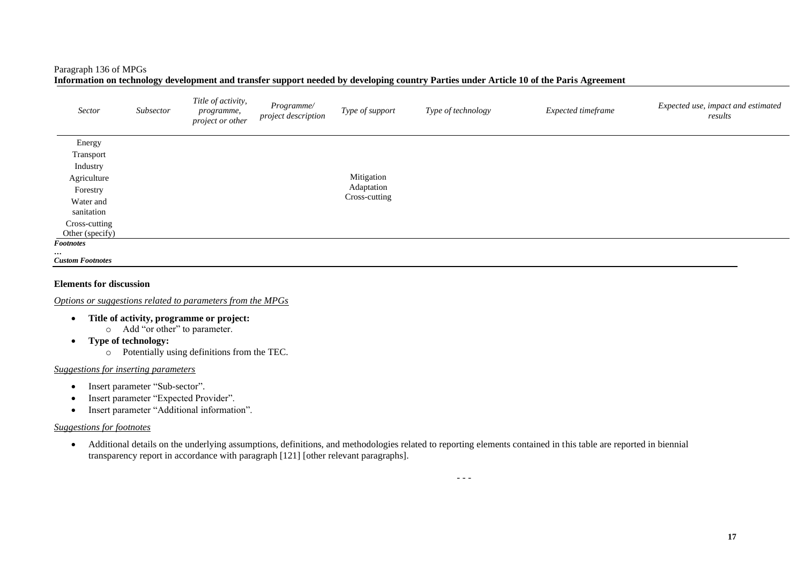# Paragraph 136 of MPGs

**Information on technology development and transfer support needed by developing country Parties under Article 10 of the Paris Agreement** 

| Sector                      | Subsector | Title of activity,<br>programme,<br>project or other | Programme/<br>project description | Type of support | Type of technology | Expected timeframe | Expected use, impact and estimated<br>results |
|-----------------------------|-----------|------------------------------------------------------|-----------------------------------|-----------------|--------------------|--------------------|-----------------------------------------------|
| Energy                      |           |                                                      |                                   |                 |                    |                    |                                               |
| Transport                   |           |                                                      |                                   |                 |                    |                    |                                               |
| Industry                    |           |                                                      |                                   |                 |                    |                    |                                               |
| Agriculture                 |           |                                                      |                                   | Mitigation      |                    |                    |                                               |
| Forestry                    |           |                                                      |                                   | Adaptation      |                    |                    |                                               |
| Water and                   |           |                                                      |                                   | Cross-cutting   |                    |                    |                                               |
| sanitation                  |           |                                                      |                                   |                 |                    |                    |                                               |
| Cross-cutting               |           |                                                      |                                   |                 |                    |                    |                                               |
| Other (specify)             |           |                                                      |                                   |                 |                    |                    |                                               |
| <b>Footnotes</b>            |           |                                                      |                                   |                 |                    |                    |                                               |
| <br><b>Custom Footnotes</b> |           |                                                      |                                   |                 |                    |                    |                                               |

#### **Elements for discussion**

*Options or suggestions related to parameters from the MPGs*

- **Title of activity, programme or project:**
	- o Add "or other" to parameter.
- **Type of technology:**
	- o Potentially using definitions from the TEC.

# *Suggestions for inserting parameters*

- Insert parameter "Sub-sector".
- Insert parameter "Expected Provider".
- Insert parameter "Additional information".

# *Suggestions for footnotes*

• Additional details on the underlying assumptions, definitions, and methodologies related to reporting elements contained in this table are reported in biennial transparency report in accordance with paragraph [121] [other relevant paragraphs].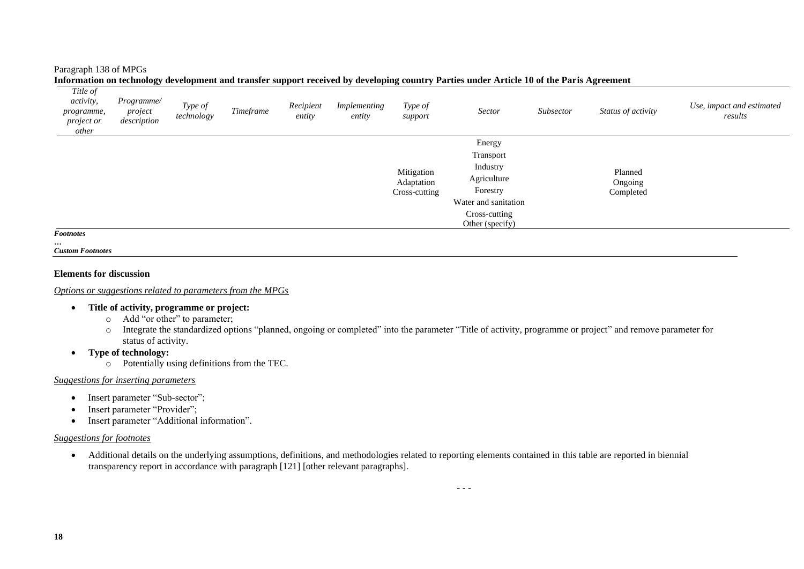#### Paragraph 138 of MPGs

| Title of<br><i>activity,</i><br>programme,<br><i>project or</i><br>other | Programme/<br>project<br>description | Type of<br>technology | Timeframe | Recipient<br>entity | Implementing<br>entity | Type of<br>support                        | Sector                                                                                                                 | Subsector | Status of activity              | Use, impact and estimated<br>results |
|--------------------------------------------------------------------------|--------------------------------------|-----------------------|-----------|---------------------|------------------------|-------------------------------------------|------------------------------------------------------------------------------------------------------------------------|-----------|---------------------------------|--------------------------------------|
|                                                                          |                                      |                       |           |                     |                        | Mitigation<br>Adaptation<br>Cross-cutting | Energy<br>Transport<br>Industry<br>Agriculture<br>Forestry<br>Water and sanitation<br>Cross-cutting<br>Other (specify) |           | Planned<br>Ongoing<br>Completed |                                      |
| <b>Footnotes</b>                                                         |                                      |                       |           |                     |                        |                                           |                                                                                                                        |           |                                 |                                      |

**Information on technology development and transfer support received by developing country Parties under Article 10 of the Paris Agreement** 

*…*

*Custom Footnotes*

#### **Elements for discussion**

#### *Options or suggestions related to parameters from the MPGs*

# • **Title of activity, programme or project:**

- o Add "or other" to parameter;
- o Integrate the standardized options "planned, ongoing or completed" into the parameter "Title of activity, programme or project" and remove parameter for status of activity.
- **Type of technology:**
	- o Potentially using definitions from the TEC.

#### *Suggestions for inserting parameters*

- Insert parameter "Sub-sector";
- Insert parameter "Provider";
- Insert parameter "Additional information".

#### *Suggestions for footnotes*

• Additional details on the underlying assumptions, definitions, and methodologies related to reporting elements contained in this table are reported in biennial transparency report in accordance with paragraph [121] [other relevant paragraphs].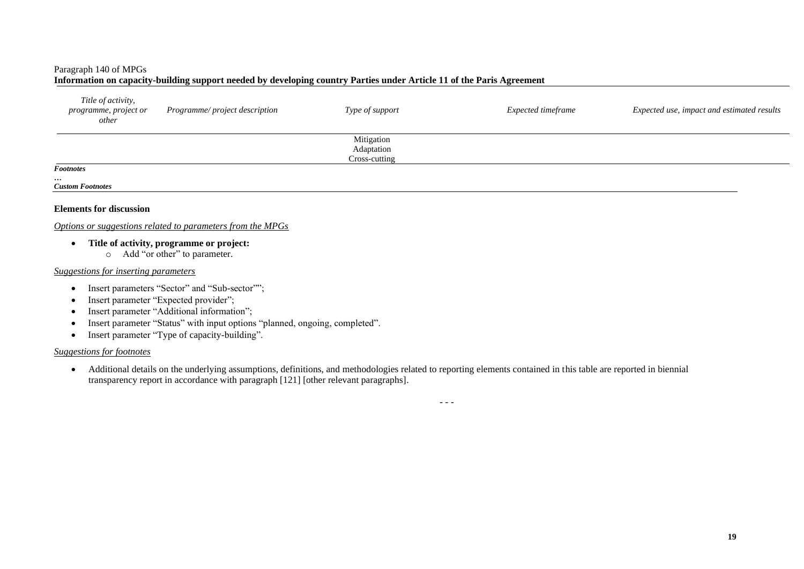# Paragraph 140 of MPGs

### **Information on capacity-building support needed by developing country Parties under Article 11 of the Paris Agreement**

| Title of activity,<br>programme, project or<br>other | Programme/project description | Type of support                           | Expected timeframe | Expected use, impact and estimated results |
|------------------------------------------------------|-------------------------------|-------------------------------------------|--------------------|--------------------------------------------|
|                                                      |                               | Mitigation<br>Adaptation<br>Cross-cutting |                    |                                            |
| <b>Footnotes</b>                                     |                               |                                           |                    |                                            |

#### *… Custom Footnotes*

#### **Elements for discussion**

#### *Options or suggestions related to parameters from the MPGs*

- **Title of activity, programme or project:**
	- o Add "or other" to parameter.

#### *Suggestions for inserting parameters*

- Insert parameters "Sector" and "Sub-sector"";
- Insert parameter "Expected provider":
- Insert parameter "Additional information";
- Insert parameter "Status" with input options "planned, ongoing, completed".
- Insert parameter "Type of capacity-building".

# *Suggestions for footnotes*

• Additional details on the underlying assumptions, definitions, and methodologies related to reporting elements contained in this table are reported in biennial transparency report in accordance with paragraph [121] [other relevant paragraphs].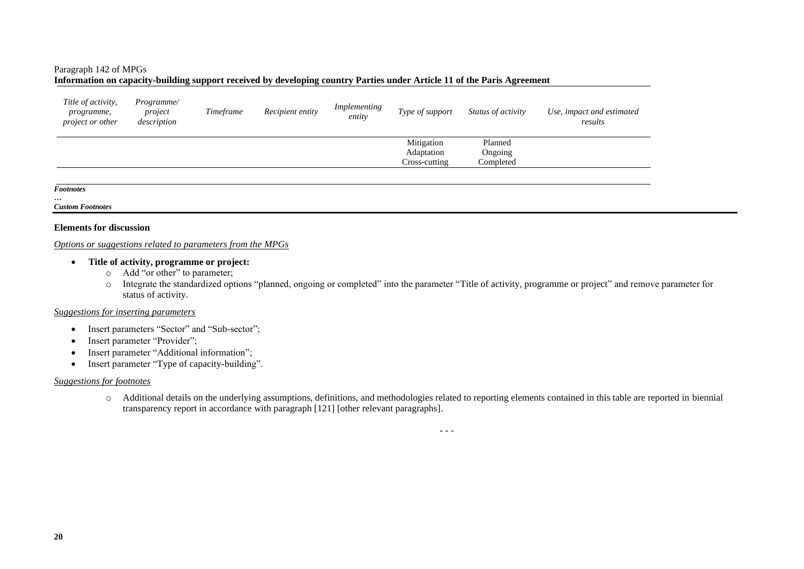#### Paragraph 142 of MPGs

### **Information on capacity-building support received by developing country Parties under Article 11 of the Paris Agreement**

| Title of activity,<br><i>programme,</i><br><i>project or other</i> | Programme/<br>project<br>description | Timeframe | Recipient entity | Implementing<br>entity | Type of support                           | Status of activity              | Use, impact and estimated<br>results |
|--------------------------------------------------------------------|--------------------------------------|-----------|------------------|------------------------|-------------------------------------------|---------------------------------|--------------------------------------|
|                                                                    |                                      |           |                  |                        | Mitigation<br>Adaptation<br>Cross-cutting | Planned<br>Ongoing<br>Completed |                                      |
|                                                                    |                                      |           |                  |                        |                                           |                                 |                                      |

#### *Footnotes*

#### *… Custom Footnotes*

#### **Elements for discussion**

#### *Options or suggestions related to parameters from the MPGs*

#### • **Title of activity, programme or project:**

- o Add "or other" to parameter;
- o Integrate the standardized options "planned, ongoing or completed" into the parameter "Title of activity, programme or project" and remove parameter for status of activity.

# *Suggestions for inserting parameters*

- Insert parameters "Sector" and "Sub-sector";
- Insert parameter "Provider";
- Insert parameter "Additional information";
- Insert parameter "Type of capacity-building".

#### *Suggestions for footnotes*

o Additional details on the underlying assumptions, definitions, and methodologies related to reporting elements contained in this table are reported in biennial transparency report in accordance with paragraph [121] [other relevant paragraphs].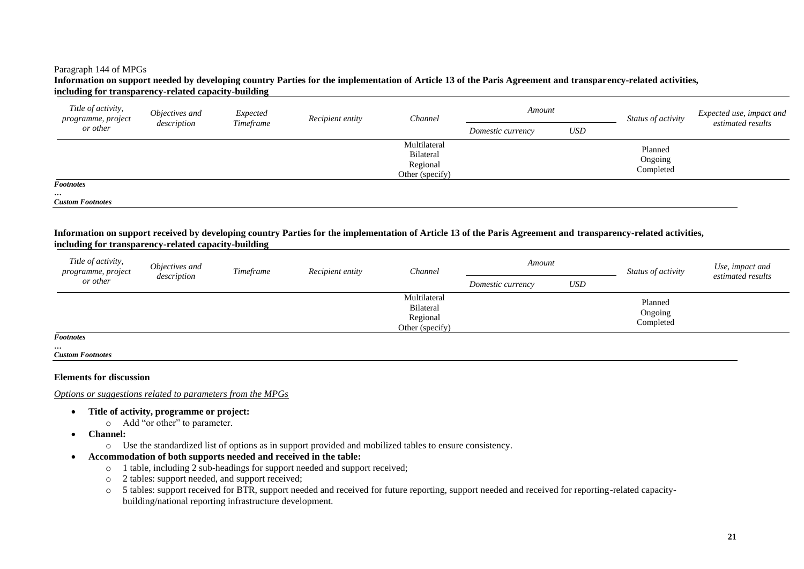#### Paragraph 144 of MPGs

#### **Information on support needed by developing country Parties for the implementation of Article 13 of the Paris Agreement and transparency-related activities, including for transparency-related capacity-building**

| Title of activity,<br>programme, project<br>or other    | Objectives and | Expected  | Recipient entity | Channel                                                         | Amount            |            | Status of activity              | Expected use, impact and<br>estimated results |
|---------------------------------------------------------|----------------|-----------|------------------|-----------------------------------------------------------------|-------------------|------------|---------------------------------|-----------------------------------------------|
|                                                         | description    | Timeframe |                  |                                                                 | Domestic currency | <b>USD</b> |                                 |                                               |
|                                                         |                |           |                  | Multilateral<br><b>Bilateral</b><br>Regional<br>Other (specify) |                   |            | Planned<br>Ongoing<br>Completed |                                               |
| <b>Footnotes</b><br>$\cdots$<br><b>Custom Footnotes</b> |                |           |                  |                                                                 |                   |            |                                 |                                               |

#### **Information on support received by developing country Parties for the implementation of Article 13 of the Paris Agreement and transparency-related activities, including for transparency-related capacity-building**

| Title of activity,<br>programme, project | Objectives and | Timeframe | Recipient entity | Channel                                                         | Amount            |     | Status of activity              | Use, impact and   |
|------------------------------------------|----------------|-----------|------------------|-----------------------------------------------------------------|-------------------|-----|---------------------------------|-------------------|
| or other                                 | description    |           |                  |                                                                 | Domestic currency | USD |                                 | estimated results |
|                                          |                |           |                  | Multilateral<br><b>Bilateral</b><br>Regional<br>Other (specify) |                   |     | Planned<br>Ongoing<br>Completed |                   |
| <b>Footnotes</b>                         |                |           |                  |                                                                 |                   |     |                                 |                   |

*Custom Footnotes*

*…*

#### **Elements for discussion**

*Options or suggestions related to parameters from the MPGs*

- **Title of activity, programme or project:**
	- o Add "or other" to parameter.
- **Channel:**
	- o Use the standardized list of options as in support provided and mobilized tables to ensure consistency.
- **Accommodation of both supports needed and received in the table:**
	- o 1 table, including 2 sub-headings for support needed and support received;
	- o 2 tables: support needed, and support received;
	- o 5 tables: support received for BTR, support needed and received for future reporting, support needed and received for reporting-related capacitybuilding/national reporting infrastructure development.